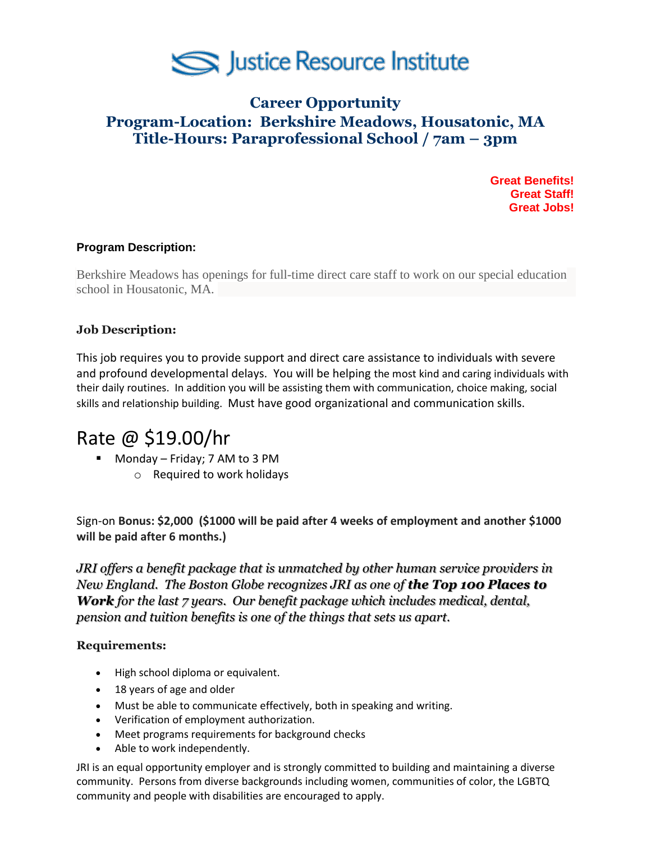

## **Career Opportunity Program-Location: Berkshire Meadows, Housatonic, MA Title-Hours: Paraprofessional School / 7am – 3pm**

**Great Benefits! Great Staff! Great Jobs!**

### **Program Description:**

Berkshire Meadows has openings for full-time direct care staff to work on our special education school in Housatonic, MA.

### **Job Description:**

This job requires you to provide support and direct care assistance to individuals with severe and profound developmental delays. You will be helping the most kind and caring individuals with their daily routines. In addition you will be assisting them with communication, choice making, social skills and relationship building. Must have good organizational and communication skills.

# Rate @ \$19.00/hr

- Monday Friday; 7 AM to 3 PM
	- o Required to work holidays

Sign-on **Bonus: \$2,000 (\$1000 will be paid after 4 weeks of employment and another \$1000 will be paid after 6 months.)**

*JRI offers a benefit package that is unmatched by other human service providers in New England. The Boston Globe recognizes JRI as one of the Top 100 Places to Work for the last 7 years. Our benefit package which includes medical, dental, pension and tuition benefits is one of the things that sets us apart.*

### **Requirements:**

- High school diploma or equivalent.
- 18 years of age and older
- Must be able to communicate effectively, both in speaking and writing.
- Verification of employment authorization.
- Meet programs requirements for background checks
- Able to work independently.

JRI is an equal opportunity employer and is strongly committed to building and maintaining a diverse community. Persons from diverse backgrounds including women, communities of color, the LGBTQ community and people with disabilities are encouraged to apply.